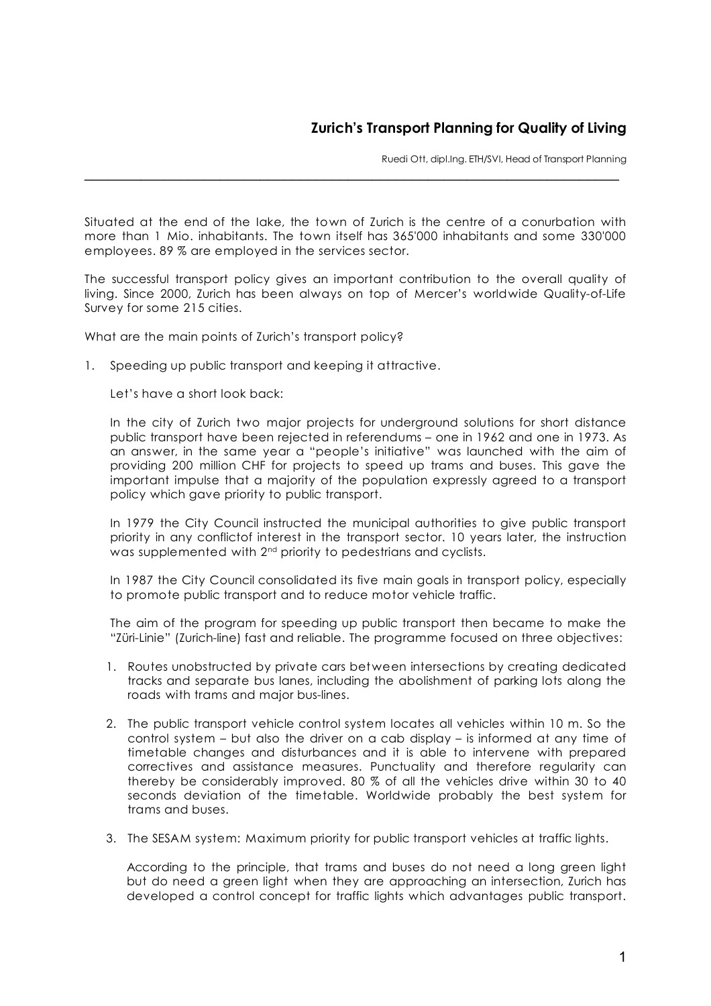## **Zurich's Transport Planning for Quality of Living**

Ruedi Ott, dipl.Ing. ETH/SVI, Head of Transport Planning

Situated at the end of the Iake, the town of Zurich is the centre of a conurbation with more than 1 Mio. inhabitants. The town itself has 365'000 inhabitants and some 330'000 employees. 89 % are employed in the services sector.

 $\_$ 

The successful transport policy gives an important contribution to the overall quality of living. Since 2000, Zurich has been always on top of Mercer's worldwide Quality-of-Life Survey for some 215 cities.

What are the main points of Zurich's transport policy?

1. Speeding up public transport and keeping it attractive.

Let's have a short look back:

In the city of Zurich two major projects for underground solutions for short distance public transport have been rejected in referendums – one in 1962 and one in 1973. As an answer, in the same year a "people's initiative" was launched with the aim of providing 200 million CHF for projects to speed up trams and buses. This gave the important impulse that a majority of the population expressly agreed to a transport policy which gave priority to public transport.

In 1979 the City Council instructed the municipal authorities to give public transport priority in any conflictof interest in the transport sector. 10 years later, the instruction was supplemented with 2<sup>nd</sup> priority to pedestrians and cyclists.

In 1987 the City Council consolidated its five main goals in transport policy, especially to promote public transport and to reduce motor vehicle traffic.

The aim of the program for speeding up public transport then became to make the "Züri-Linie" (Zurich-line) fast and reliable. The programme focused on three objectives:

- 1. Routes unobstructed by private cars between intersections by creating dedicated tracks and separate bus lanes, including the abolishment of parking lots along the roads with trams and major bus-lines.
- 2. The public transport vehicle control system locates all vehicles within 10 m. So the control system – but also the driver on a cab display – is informed at any time of timetable changes and disturbances and it is able to intervene with prepared correctives and assistance measures. Punctuality and therefore regularity can thereby be considerably improved. 80 % of all the vehicles drive within 30 to 40 seconds deviation of the timetable. Worldwide probably the best system for trams and buses.
- 3. The SESAM system: Maximum priority for public transport vehicles at traffic lights.

According to the principle, that trams and buses do not need a long green light but do need a green light when they are approaching an intersection, Zurich has developed a control concept for traffic lights which advantages public transport.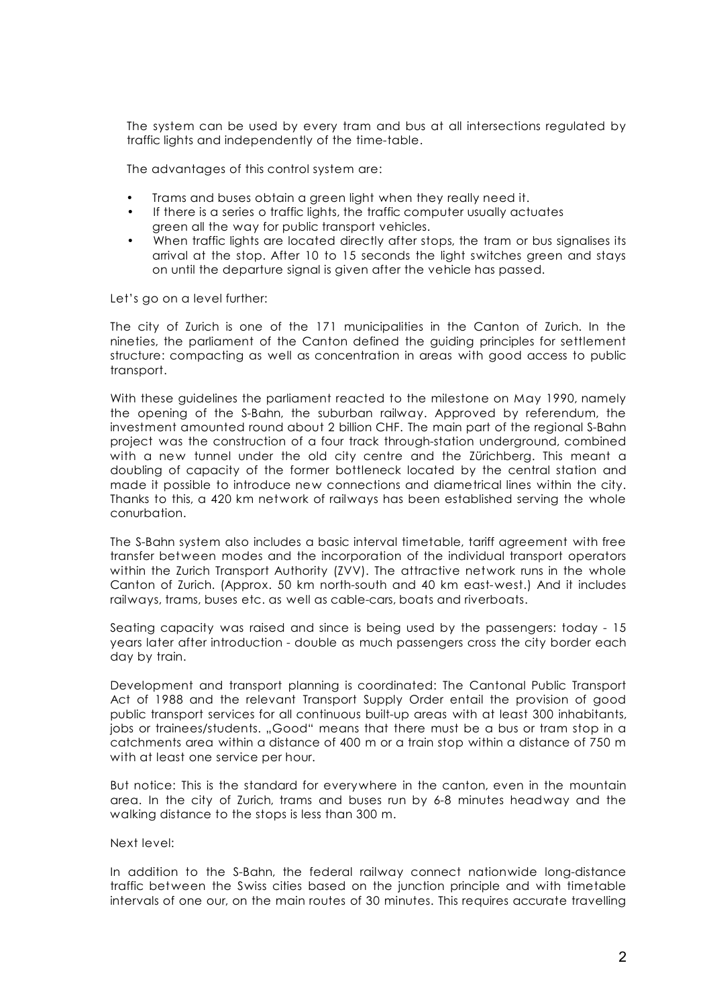The system can be used by every tram and bus at all intersections regulated by traffic lights and independently of the time-table.

The advantages of this control system are:

- Trams and buses obtain a green light when they really need it.
- If there is a series o traffic lights, the traffic computer usually actuates green all the way for public transport vehicles.
- When traffic lights are located directly after stops, the tram or bus signalises its arrival at the stop. After 10 to 15 seconds the light switches green and stays on until the departure signal is given after the vehicle has passed.

Let's go on a level further:

The city of Zurich is one of the 171 municipalities in the Canton of Zurich. In the nineties, the parliament of the Canton defined the guiding principles for settlement structure: compacting as well as concentration in areas with good access to public transport.

With these guidelines the parliament reacted to the milestone on May 1990, namely the opening of the S-Bahn, the suburban railway. Approved by referendum, the investment amounted round about 2 billion CHF. The main part of the regional S-Bahn project was the construction of a four track through-station underground, combined with a new tunnel under the old city centre and the Zürichberg. This meant a doubling of capacity of the former bottleneck located by the central station and made it possible to introduce new connections and diametrical lines within the city. Thanks to this, a 420 km network of railways has been established serving the whole conurbation.

The S-Bahn system also includes a basic interval timetable, tariff agreement with free transfer between modes and the incorporation of the individual transport operators within the Zurich Transport Authority (ZVV). The attractive network runs in the whole Canton of Zurich. (Approx. 50 km north-south and 40 km east-west.) And it includes railways, trams, buses etc. as well as cable-cars, boats and riverboats.

Seating capacity was raised and since is being used by the passengers: today - 15 years later after introduction - double as much passengers cross the city border each day by train.

Development and transport planning is coordinated: The Cantonal Public Transport Act of 1988 and the relevant Transport Supply Order entail the provision of good public transport services for all continuous built-up areas with at least 300 inhabitants, jobs or trainees/students. "Good" means that there must be a bus or tram stop in a catchments area within a distance of 400 m or a train stop within a distance of 750 m with at least one service per hour.

But notice: This is the standard for everywhere in the canton, even in the mountain area. In the city of Zurich, trams and buses run by 6-8 minutes headway and the walking distance to the stops is less than 300 m.

Next level:

In addition to the S-Bahn, the federal railway connect nationwide long-distance traffic between the Swiss cities based on the junction principle and with timetable intervals of one our, on the main routes of 30 minutes. This requires accurate travelling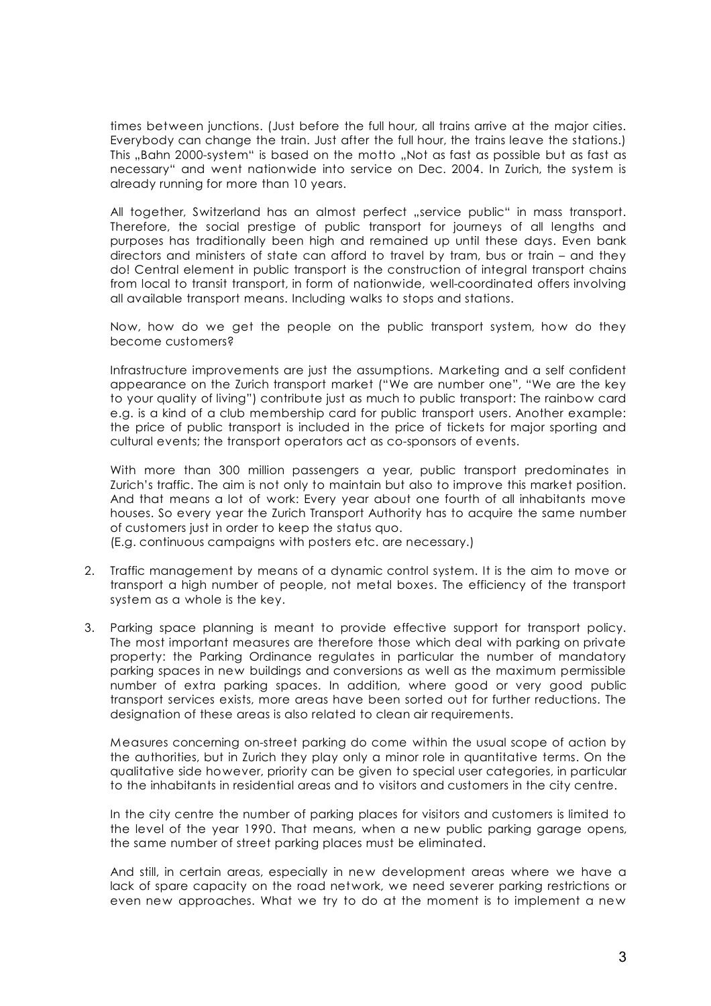times between junctions. (Just before the full hour, all trains arrive at the major cities. Everybody can change the train. Just after the full hour, the trains leave the stations.) This "Bahn 2000-system" is based on the motto "Not as fast as possible but as fast as necessary" and went nationwide into service on Dec. 2004. In Zurich, the system is already running for more than 10 years.

All together, Switzerland has an almost perfect "service public" in mass transport. Therefore, the social prestige of public transport for journeys of all lengths and purposes has traditionally been high and remained up until these days. Even bank directors and ministers of state can afford to travel by tram, bus or train – and they do! Central element in public transport is the construction of integral transport chains from local to transit transport, in form of nationwide, well-coordinated offers involving all available transport means. Including walks to stops and stations.

Now, how do we get the people on the public transport system, how do they become customers?

Infrastructure improvements are just the assumptions. Marketing and a self confident appearance on the Zurich transport market ("We are number one", "We are the key to your quality of living") contribute just as much to public transport: The rainbow card e.g. is a kind of a club membership card for public transport users. Another example: the price of public transport is included in the price of tickets for major sporting and cultural events; the transport operators act as co-sponsors of events.

With more than 300 million passengers a year, public transport predominates in Zurich's traffic. The aim is not only to maintain but also to improve this market position. And that means a lot of work: Every year about one fourth of all inhabitants move houses. So every year the Zurich Transport Authority has to acquire the same number of customers just in order to keep the status quo.

(E.g. continuous campaigns with posters etc. are necessary.)

- 2. Traffic management by means of a dynamic control system. It is the aim to move or transport a high number of people, not metal boxes. The efficiency of the transport system as a whole is the key.
- 3. Parking space planning is meant to provide effective support for transport policy. The most important measures are therefore those which deal with parking on private property: the Parking Ordinance regulates in particular the number of mandatory parking spaces in new buildings and conversions as well as the maximum permissible number of extra parking spaces. In addition, where good or very good public transport services exists, more areas have been sorted out for further reductions. The designation of these areas is also related to clean air requirements.

Measures concerning on-street parking do come within the usual scope of action by the authorities, but in Zurich they play only a minor role in quantitative terms. On the qualitative side however, priority can be given to special user categories, in particular to the inhabitants in residential areas and to visitors and customers in the city centre.

In the city centre the number of parking places for visitors and customers is limited to the level of the year 1990. That means, when a new public parking garage opens, the same number of street parking places must be eliminated.

And still, in certain areas, especially in new development areas where we have a lack of spare capacity on the road network, we need severer parking restrictions or even new approaches. What we try to do at the moment is to implement a new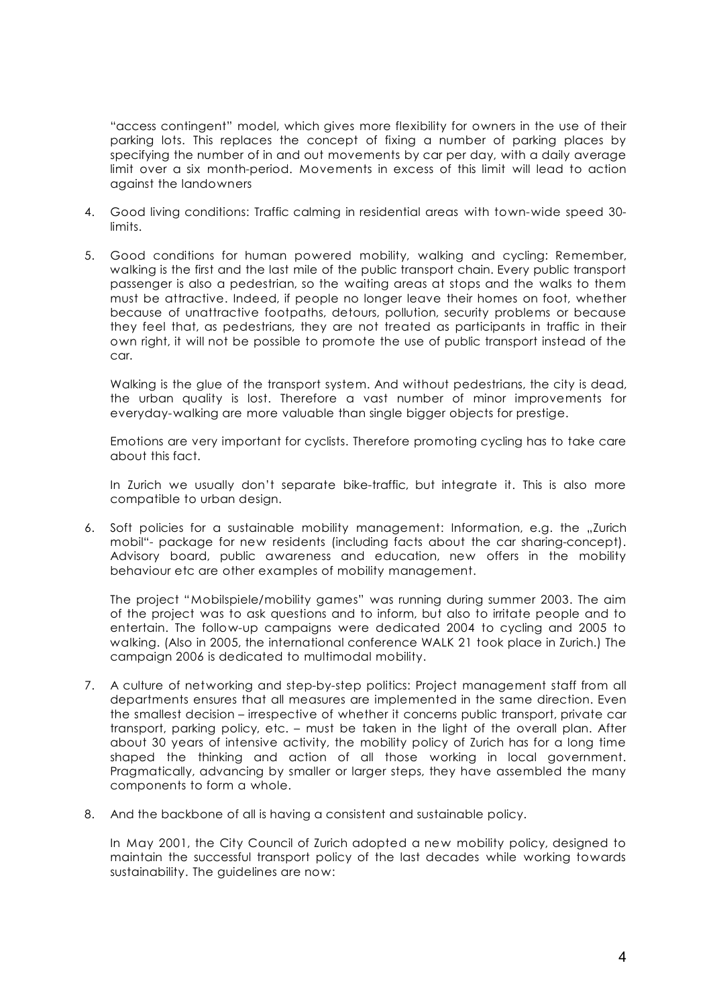"access contingent" model, which gives more flexibility for owners in the use of their parking lots. This replaces the concept of fixing a number of parking places by specifying the number of in and out movements by car per day, with a daily average limit over a six month-period. Movements in excess of this limit will lead to action against the landowners

- 4. Good living conditions: Traffic calming in residential areas with town-wide speed 30 limits.
- 5. Good conditions for human powered mobility, walking and cycling: Remember, walking is the first and the last mile of the public transport chain. Every public transport passenger is also a pedestrian, so the waiting areas at stops and the walks to them must be attractive. Indeed, if people no longer leave their homes on foot, whether because of unattractive footpaths, detours, pollution, security problems or because they feel that, as pedestrians, they are not treated as participants in traffic in their own right, it will not be possible to promote the use of public transport instead of the car.

Walking is the glue of the transport system. And without pedestrians, the city is dead, the urban quality is lost. Therefore a vast number of minor improvements for everyday-walking are more valuable than single bigger objects for prestige.

Emotions are very important for cyclists. Therefore promoting cycling has to take care about this fact.

In Zurich we usually don't separate bike-traffic, but integrate it. This is also more compatible to urban design.

6. Soft policies for a sustainable mobility management: Information, e.g. the "Zurich mobil"- package for new residents (including facts about the car sharing-concept). Advisory board, public awareness and education, new offers in the mobility behaviour etc are other examples of mobility management.

The project "Mobilspiele/mobility games" was running during summer 2003. The aim of the project was to ask questions and to inform, but also to irritate people and to entertain. The follow-up campaigns were dedicated 2004 to cycling and 2005 to walking. (Also in 2005, the international conference WALK 21 took place in Zurich.) The campaign 2006 is dedicated to multimodal mobility.

- 7. A culture of networking and step-by-step politics: Project management staff from all departments ensures that all measures are implemented in the same direction. Even the smallest decision – irrespective of whether it concerns public transport, private car transport, parking policy, etc. – must be taken in the light of the overall plan. After about 30 years of intensive activity, the mobility policy of Zurich has for a long time shaped the thinking and action of all those working in local government. Pragmatically, advancing by smaller or larger steps, they have assembled the many components to form a whole.
- 8. And the backbone of all is having a consistent and sustainable policy.

In May 2001, the City Council of Zurich adopted a new mobility policy, designed to maintain the successful transport policy of the last decades while working towards sustainability. The guidelines are now: